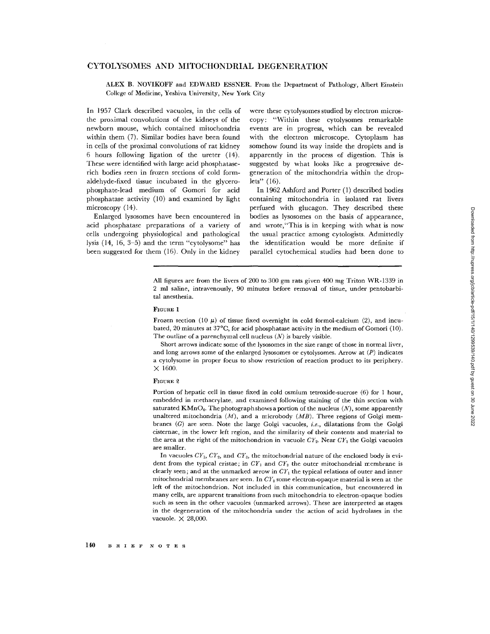# **CYTOLYSOMES AND MITOCHONDRIAL DEGENERATION**

ALEX B. NOVIKOFF and EDWARD ESSNER. From the Department of Pathology, Albert Einstein College of Medicine, Yeshiva University, New York City

In 1957 Clark described vacuoles, in the cells of the proximal convolutions of the kidneys of the newborn mouse, which contained mitochondria within them (7). Similar bodies have been found in cells of the proximal convolutions of rat kidney 6 hours following ligation of the ureter (14). These were identified with large acid phosphataserich bodies seen in frozen sections of cold formaldehyde-fixed tissue incubated in the glycerophosphate-lead medium of Gomori for acid phosphatase activity (10) and examined by light microscopy (14).

Enlarged lysosomes have been encountered in acid phosphatase preparations of a variety of cells undergoing physiological and pathological lysis (14, 16, 3-5) and the term "cytolysome" has been suggested for them (16). Only in the kidney

were these cytolysomes studied by electron microscopy: "Within these cytolysomes remarkable events are in progress, which can be revealed with the electron microscope. Cytoplasm has somehow found its way inside the droplets and is apparently in the process of digestion. This is suggested by what looks like a progressive degeneration of the mitochondria within the droplets" (16).

In 1962 Ashford and Porter (1) described bodies containing mitochondria in isolated rat livers perfused with glucagon. They described these bodies as lysosomes on the basis of appearance, and wrote,"This is in keeping with what is now the usual practice among cytologists. Admittedly the identification would be more definite if parallel cytochemical studies had been done to

All figures are from the livers of 200 to 300 gm rats given 400 mg Triton WR-1339 in 2 ml saline, intravenously, 90 minutes before removal of tissue, under pentobarbital anesthesia.

# FIGURE 1

Frozen section (10  $\mu$ ) of tissue fixed overnight in cold formol-calcium (2), and incubated, 20 minutes at 37°C, for acid phosphatase activity in the medium of Gomori (10). The outline of a parenchymal cell nucleus  $(N)$  is barely visible.

Short arrows indicate some of the lysosomes in the size range of those in normal liver, and long arrows some of the enlarged lysosomes or cytolysomes. Arrow at  $(P)$  indicates a cytolysome in proper focus to show restriction of reaction product to its periphery.  $\times$  1600.

### FIGURE 2

Portion of hepatic cell in tissue fixed in cold osmium tetroxide-sucrose (6) for **1** hour, embedded in methacrylate, and examined following staining of the thin section with saturated  $KMnO<sub>4</sub>$ . The photograph shows a portion of the nucleus  $(N)$ , some apparently unaltered mitochondria *(M)*, and a microbody *(MB)*. Three regions of Golgi membranes (G) are seen. Note the large Golgi vacuoles, *i.e.,* dilatations from the Golgi cisternae, in the lower left region, and the similarity of their contents and material to the area at the right of the mitochondrion in vacuole  $CY_2$ . Near  $CY_1$  the Golgi vacuoles are smaller.

In vacuoles  $CY_1$ ,  $CY_2$ , and  $CY_3$ , the mitochondrial nature of the enclosed body is evident from the typical cristae; in  $CY_1$  and  $CY_3$  the outer mitochondrial membrane is clearly seen; and at the unmarked arrow in  $CY_1$  the typical relations of outer and inner mitochondrial membranes are seen. In *CY3* some electron-opaque material is seen at the left of the mitochondrion. Not included in this communication, but encountered in many cells, are apparent transitions from such mitochondria to electron-opaque bodies such as seen in the other vacuoles (unmarked arrows). These are interpreted as stages in the degeneration of the mitochondria under the action of acid hydrolases in the vacuole.  $\times$  28,000.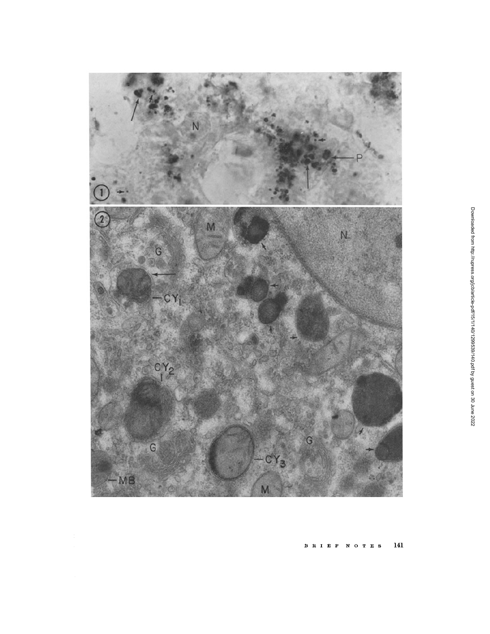

# B R I E F N O T E S 141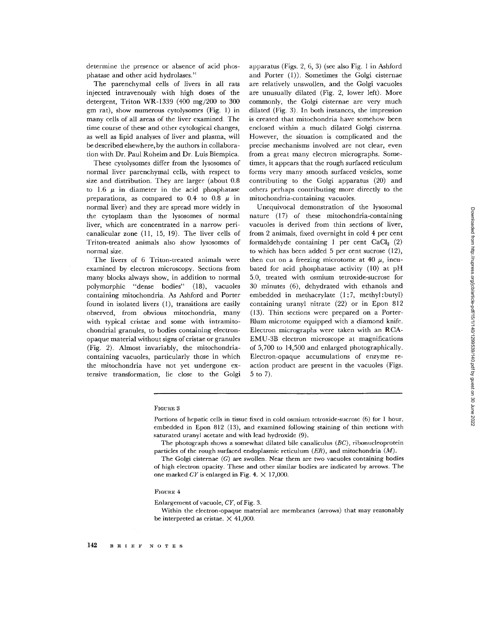determine the presence or absence of acid phosphatase and other acid hydrolases."

The parenchymal cells of livers in all rats injected intravenously with high doses of the detergent, Triton WR-1339 (400 mg/200 to 300 gm rat), show numerous cytolysomes (Fig. 1) in many cells of all areas of the liver examined. The time course of these and other cytological changes, as well as lipid analyses of liver and plasma, will be described elsewhere, by the authors in collaboration with Dr. Paul Roheim and Dr. Luis Biempica.

These cytolysomes differ from the lysosomes of normal liver parenchymal cells, with respect to size and distribution. They are larger (about 0.8 to 1.6  $\mu$  in diameter in the acid phosphatase preparations, as compared to 0.4 to 0.8  $\mu$  in normal liver) and they are spread more widely in the cytoplasm than the lysosomes of normal liver, which are concentrated in a narrow pericanalicular zone (11, 15, 19). The liver cells of Triton-treated animals also show lysosomes of normal size.

The livers of 6 Triton-treated animals were examined by electron microscopy. Sections from many blocks always show, in addition to normal polymorphic "dense bodies" (18), vacuoles containing mitochondria. As Ashford and Porter found in isolated livers (1), transitions are easily observed, from obvious mitochondria, many with typical cristae and some with intramitochondrial granules, to bodies containing electronopaque material without signs of cristae or granules (Fig. 2). Almost invariably, the mitochondriacontaining vacuoles, particularly those in which the mitochondria have not yet undergone extensive transformation, lie close to the Golgi apparatus (Figs. 2, 6, 3) (see also Fig. 1 in Ashford and Porter (1)). Sometimes the Golgi cisternae are relatively unswollen, and the Golgi vacuoles are unusually dilated (Fig. 2, lower left). More commonly, the Golgi cisternae are very much dilated (Fig. 3). In both instances, the impression is created that mitochondria have somehow been enclosed within a much dilated Golgi cisterna. However, the situation is complicated and the precise mechanisms involved are not clear, even from a great many electron micrographs. Sometimes, it appears that the rough surfaced reticulum forms very many smooth surfaced vesicles, some contributing to the Golgi apparatus (20) and others perhaps contributing more directly to the mitochondria-containing vacuoles.

Unequivocal demonstration of the lysosomal nature (17) of these mitochondria-containing vacuoles is derived from thin sections of liver, from 2 animals, fixed overnight in cold 4 per cent formaldehyde containing 1 per cent  $CaCl<sub>2</sub>$  (2) to which has been added 5 per cent sucrose (12), then cut on a freezing microtome at 40  $\mu$ , incubated for acid phosphatase activity (10) at pH 5.0, treated with osmium tetroxide-sucrose for 30 minutes (6), dehydrated with ethanols and embedded in methacrylate (1:7, methyl:butyl) containing uranyl nitrate (22) or in Epon 812 (13). Thin sections were prepared on a Porter-Blum microtome equipped with a diamond knife. Electron micrographs were taken with an RCA-EMU-3B electron microscope at magnifications of 5,700 to 14,500 and enlarged photographically. Electron-opaque accumulations of enzyme reaction product are present in the vacuoles (Figs. 5 to 7).

# FIGURE 3

Portions of hepatic cells in tissue fixed in cold osmium tetroxide-sucrose (6) for 1 hour, embedded in Epon 812 (13), and examined following staining of thin sections with saturated uranyl acetate and with lead hydroxide (9).

The photograph shows a somewhat dilated bile canaliculus *(BC),* ribonucleoprotein particles of the rough surfaced endoplasmic reticulum *(ER),* and mitochondria (M).

The Golgi cisternae  $(G)$  are swollen. Near them are two vacuoles containing bodies of high electron opacity. These and other similar bodies are indicated by arrows. The one marked  $CY$  is enlarged in Fig. 4.  $\times$  17,000.

### FIGURE 4

Enlargement of vacuole, *CY,* of Fig. 3.

Within the electron-opaque material are membranes (arrows) that may reasonably be interpreted as cristae.  $\times$  41,000.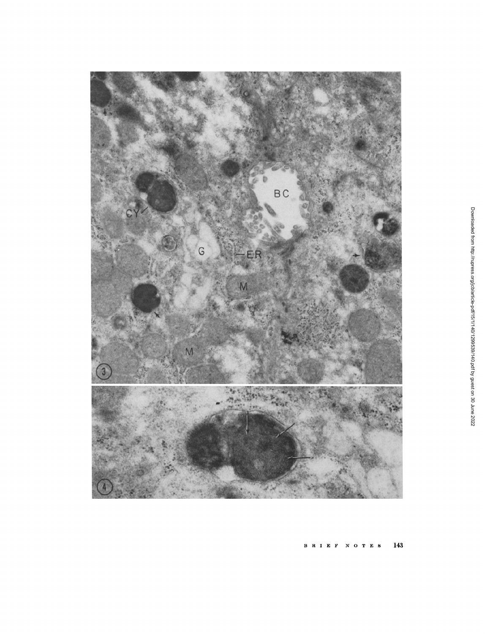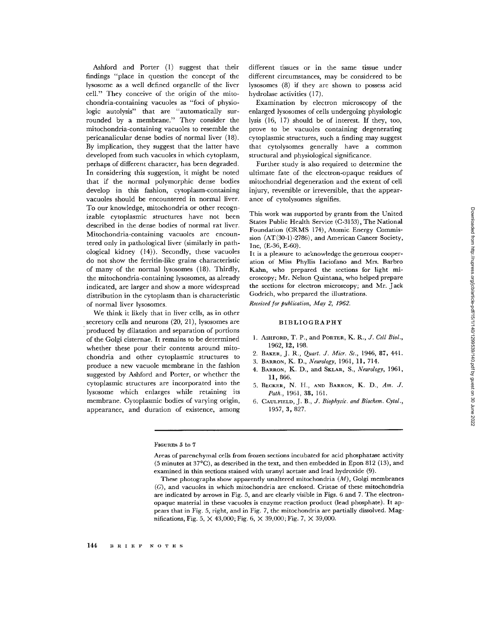Ashford and Porter (1) suggest that their findings "place in question the concept of the lysosome as a well defined organelle of the liver cell." They conceive of the origin of the mitochondria-containing vacuoles as "foci of physiologic autolysis" that are "automatically surrounded by a membrane." They consider the mitochondria-containing vacuoles to resemble the pericanalicular dense bodies of normal liver (18). By implication, they suggest that the latter have developed from such vacuoles in which cytoplasm, perhaps of different character, has been degraded. In considering this suggestion, it might be noted that if the normal polymorphic dense bodies develop in this fashion, cytoplasm-containing vacuoles should be encountered in normal liver. To our knowledge, mitochondria or other recognizable cytoplasmic structures have not been described in the dense bodies of normal rat liver. Mitochondria-containing vacuoles are encountered only in pathological liver (similarly in pathological kidney (14)). Secondly, these vacuoles do not show the ferritin-like grains characteristic of many of the normal lysosomes (18). Thirdly, the mitochondria-containing lysosomes, as already indicated, are larger and show a more widespread distribution in the cytoplasm than is characteristic of normal liver lysosomes.

We think it likely that in liver cells, as in other secretory cells and neurons  $(20, 21)$ , lysosomes are produced by dilatation and separation of portions of the Golgi cisternae. It remains to be determined whether these pour their contents around mitochondria and other cytoplasmic structures to produce a new vacuole membrane in the fashion suggested by Ashford and Porter, or whether the cytoplasmic structures are incorporated into the lysosome which enlarges while retaining its membrane. Cytoplasmic bodies of varying origin, appearance, and duration of existence, among different tissues or in the same tissue under different circumstances, may be considered to be lysosomes (8) if they are shown to possess acid hydrolase activities (17).

Examination by electron microscopy of the enlarged lysosomes of cells undergoing physiologic lysis (16, 17) should be of interest. If they, too, prove to be vacuoles containing degenerating cytoplasmic structures, such a finding may suggest that cytolysomes generally have a common structural and physiological significance.

Further study is also required to determine the ultimate fate of the electron-opaque residues of mitochondrial degeneration and the extent of cell injury, reversible or irreversible, that the appearance of cytolysomes signifies.

This work was supported by grants from the United States Public Health Service (C-3153), The National Foundation (CRMS 174), Atomic Energy Commission (AT(30-1)-2786), and American Cancer Society, Inc, (E-36, E-60).

It is a pleasure to acknowledge the generous cooperation of Miss Phyllis Iaciofano and Mrs. Barbro Kahn, who prepared the sections for light microscopy; Mr. Nelson Quintana, who helped prepare the sections for electron microscopy; and Mr. Jack Godrich, who prepared the illustrations.

*Received for publication, May 2, 1962.* 

# BIBLIOGRAPHY

- 1. ASHFORD, T. P., and PORTER, K. R., *J. Cell Biol.,*  1962, 12, 198.
- 2. BAKER, J. R., *Quart. J. Micr. Sc.,* 1946, 87,441.
- 3. BARRON, K. D., *Neurology,* 1961, 11,714.
- 4. BARRON, K. D., and SKLAR, S., *Neurology*, 1961, 11,866.
- 5. BECKER, N. H., AND BARRON, K. D., Am. J. *Path.,* 1961, 38, 161.
- 6. CAULFIELD, J. B., J. Biophysic. and Biochem. Cytol., 1957, 3,827.

# FIGURES 5 to 7

Areas of parenchymal cells from frozen sections incubated for acid phosphatasc activity (5 minutes at 37°C), as described in the text, and then embedded in Epon 812 (13), and examined in thin sections stained with uranyl acetate and lead hydroxide (9).

These photographs show apparently unaltered mitochondria  $(M)$ , Golgi membranes  $(G)$ , and vacuoles in which mitochondria are enclosed. Cristae of these mitochondria are indicated by arrows in Fig. 5, and are clearly visible in Figs. 6 and 7. The electronopaque material in these vacuolcs is cnzyme reaction product (lead phosphate). It appears that in Fig. 5, right, and in Fig. 7, the mitochondria are partially dissolved. Magnifications, Fig. 5,  $\times$  43,000; Fig. 6,  $\times$  39,000; Fig. 7,  $\times$  39,000.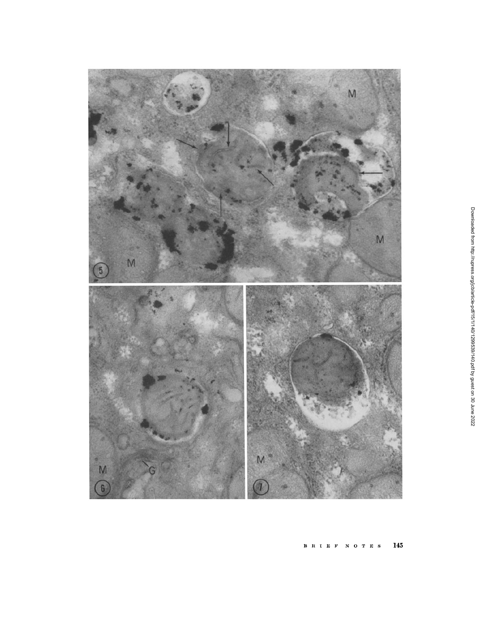

# Downloaded from http://rupress.org/jcb/article-pdf/15/1/140/1299539/140.pdf by guest on 30 June 2022 Downloaded from http://rupress.org/jcb/article-pdf/15/1/140/1299539/140.pdf by guest on 30 June 2022

# **B R I E F N O T E S** 145